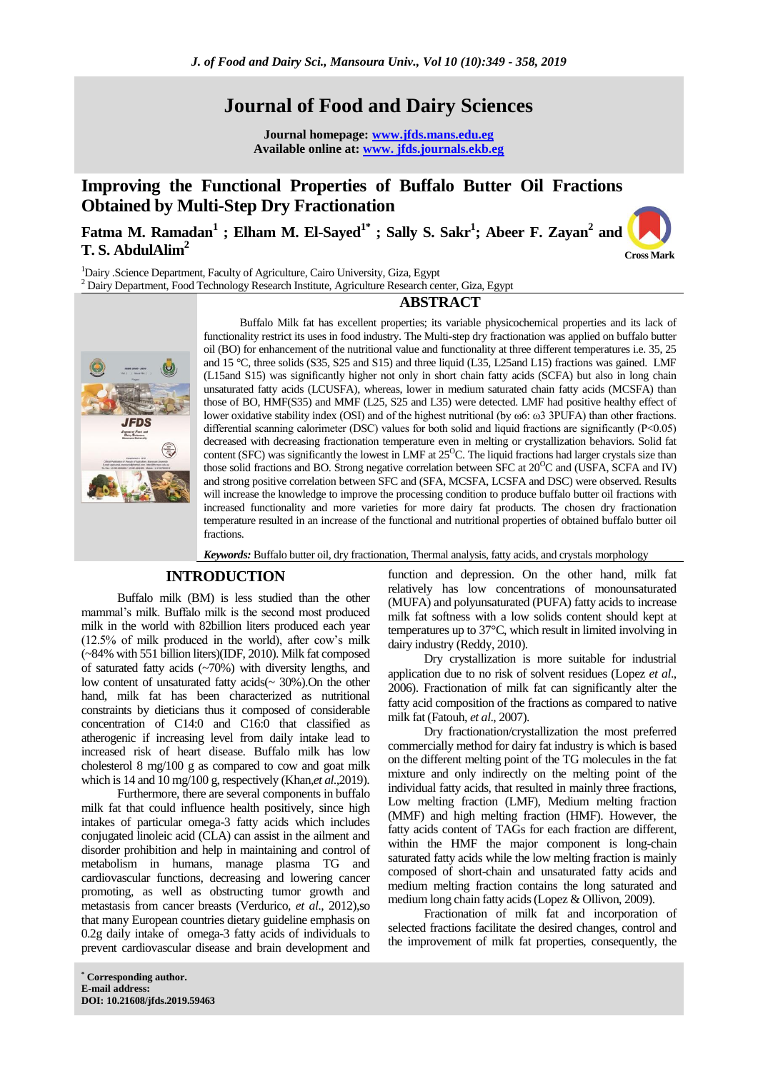# **Journal of Food and Dairy Sciences**

**Journal homepage: www.jfds.mans.edu.eg Available online at: www. jfds.journals.ekb.eg** 

# **Improving the Functional Properties of Buffalo Butter Oil Fractions Obtained by Multi-Step Dry Fractionation**

**Fatma M. Ramadan<sup>1</sup> ; Elham M. El-Sayed1\* ; Sally S. Sakr<sup>1</sup> ; Abeer F. Zayan<sup>2</sup> and T. S. AbdulAlim<sup>2</sup>**

**Cross Mark**

<sup>1</sup>Dairy .Science Department, Faculty of Agriculture, Cairo University, Giza, Egypt <sup>2</sup> Dairy Department, Food Technology Research Institute, Agriculture Research center, Giza, Egypt

# **ABSTRACT**



Buffalo Milk fat has excellent properties; its variable physicochemical properties and its lack of functionality restrict its uses in food industry. The Multi-step dry fractionation was applied on buffalo butter oil (BO) for enhancement of the nutritional value and functionality at three different temperatures i.e. 35, 25 and 15 °C, three solids (S35, S25 and S15) and three liquid (L35, L25and L15) fractions was gained. LMF (L15and S15) was significantly higher not only in short chain fatty acids (SCFA) but also in long chain unsaturated fatty acids (LCUSFA), whereas, lower in medium saturated chain fatty acids (MCSFA) than those of BO, HMF(S35) and MMF (L25, S25 and L35) were detected. LMF had positive healthy effect of lower oxidative stability index (OSI) and of the highest nutritional (by ω6: ω3 3PUFA) than other fractions. differential scanning calorimeter (DSC) values for both solid and liquid fractions are significantly (P˂0.05) decreased with decreasing fractionation temperature even in melting or crystallization behaviors. Solid fat content (SFC) was significantly the lowest in LMF at  $25^{\circ}$ C. The liquid fractions had larger crystals size than those solid fractions and BO. Strong negative correlation between SFC at  $20^{\circ}$ C and (USFA, SCFA and IV) and strong positive correlation between SFC and (SFA, MCSFA, LCSFA and DSC) were observed. Results will increase the knowledge to improve the processing condition to produce buffalo butter oil fractions with increased functionality and more varieties for more dairy fat products. The chosen dry fractionation temperature resulted in an increase of the functional and nutritional properties of obtained buffalo butter oil fractions.

*Keywords:* Buffalo butter oil, dry fractionation, Thermal analysis, fatty acids, and crystals morphology

# **INTRODUCTION**

Buffalo milk (BM) is less studied than the other mammal's milk. Buffalo milk is the second most produced milk in the world with 82billion liters produced each year (12.5% of milk produced in the world), after cow's milk (~84% with 551 billion liters)(IDF, 2010). Milk fat composed of saturated fatty acids (~70%) with diversity lengths, and low content of unsaturated fatty acids(~ 30%).On the other hand, milk fat has been characterized as nutritional constraints by dieticians thus it composed of considerable concentration of C14:0 and C16:0 that classified as atherogenic if increasing level from daily intake lead to increased risk of heart disease. Buffalo milk has low cholesterol 8 mg/100 g as compared to cow and goat milk which is 14 and 10 mg/100 g, respectively (Khan,*et al*.,2019).

Furthermore, there are several components in buffalo milk fat that could influence health positively, since high intakes of particular omega-3 fatty acids which includes conjugated linoleic acid (CLA) can assist in the ailment and disorder prohibition and help in maintaining and control of metabolism in humans, manage plasma TG and cardiovascular functions, decreasing and lowering cancer promoting, as well as obstructing tumor growth and metastasis from cancer breasts (Verdurico, *et al*., 2012),so that many European countries dietary guideline emphasis on 0.2g daily intake of omega-3 fatty acids of individuals to prevent cardiovascular disease and brain development and

function and depression. On the other hand, milk fat relatively has low concentrations of monounsaturated (MUFA) and polyunsaturated (PUFA) fatty acids to increase milk fat softness with a low solids content should kept at temperatures up to 37°C, which result in limited involving in dairy industry (Reddy, 2010).

Dry crystallization is more suitable for industrial application due to no risk of solvent residues (Lopez *et al*., 2006). Fractionation of milk fat can significantly alter the fatty acid composition of the fractions as compared to native milk fat (Fatouh, *et al*., 2007).

Dry fractionation/crystallization the most preferred commercially method for dairy fat industry is which is based on the different melting point of the TG molecules in the fat mixture and only indirectly on the melting point of the individual fatty acids, that resulted in mainly three fractions, Low melting fraction (LMF), Medium melting fraction (MMF) and high melting fraction (HMF). However, the fatty acids content of TAGs for each fraction are different, within the HMF the major component is long-chain saturated fatty acids while the low melting fraction is mainly composed of short-chain and unsaturated fatty acids and medium melting fraction contains the long saturated and medium long chain fatty acids (Lopez & Ollivon, 2009).

Fractionation of milk fat and incorporation of selected fractions facilitate the desired changes, control and the improvement of milk fat properties, consequently, the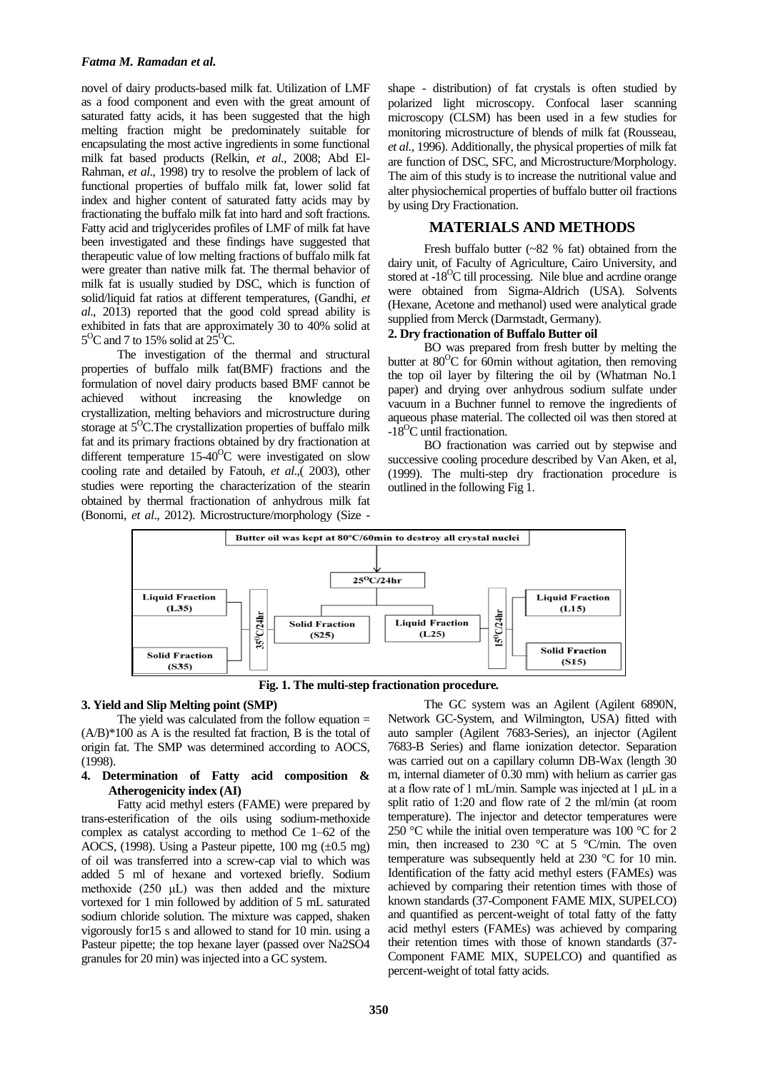novel of dairy products-based milk fat. Utilization of LMF as a food component and even with the great amount of saturated fatty acids, it has been suggested that the high melting fraction might be predominately suitable for encapsulating the most active ingredients in some functional milk fat based products (Relkin, *et al*., 2008; Abd El-Rahman, *et al*., 1998) try to resolve the problem of lack of functional properties of buffalo milk fat, lower solid fat index and higher content of saturated fatty acids may by fractionating the buffalo milk fat into hard and soft fractions. Fatty acid and triglycerides profiles of LMF of milk fat have been investigated and these findings have suggested that therapeutic value of low melting fractions of buffalo milk fat were greater than native milk fat. The thermal behavior of milk fat is usually studied by DSC, which is function of solid/liquid fat ratios at different temperatures, (Gandhi, *et al*., 2013) reported that the good cold spread ability is exhibited in fats that are approximately 30 to 40% solid at  $5^{\circ}$ C and 7 to 15% solid at  $25^{\circ}$ C.

The investigation of the thermal and structural properties of buffalo milk fat(BMF) fractions and the formulation of novel dairy products based BMF cannot be achieved without increasing the knowledge on crystallization, melting behaviors and microstructure during storage at  $5^{\circ}$ C. The crystallization properties of buffalo milk fat and its primary fractions obtained by dry fractionation at different temperature  $15{\text -}40^{\circ}\text{C}$  were investigated on slow cooling rate and detailed by Fatouh, *et al*.,( 2003), other studies were reporting the characterization of the stearin obtained by thermal fractionation of anhydrous milk fat (Bonomi, *et al*., 2012). Microstructure/morphology (Size -

shape - distribution) of fat crystals is often studied by polarized light microscopy. Confocal laser scanning microscopy (CLSM) has been used in a few studies for monitoring microstructure of blends of milk fat (Rousseau, *et al*., 1996). Additionally, the physical properties of milk fat are function of DSC, SFC, and Microstructure/Morphology. The aim of this study is to increase the nutritional value and alter physiochemical properties of buffalo butter oil fractions by using Dry Fractionation.

# **MATERIALS AND METHODS**

Fresh buffalo butter (~82 % fat) obtained from the dairy unit, of Faculty of Agriculture, Cairo University, and stored at -18<sup>O</sup>C till processing. Nile blue and acrdine orange were obtained from Sigma-Aldrich (USA). Solvents (Hexane, Acetone and methanol) used were analytical grade supplied from Merck (Darmstadt, Germany).

## **2. Dry fractionation of Buffalo Butter oil**

BO was prepared from fresh butter by melting the butter at  $80^{\circ}$ C for 60min without agitation, then removing the top oil layer by filtering the oil by (Whatman No.1 paper) and drying over anhydrous sodium sulfate under vacuum in a Buchner funnel to remove the ingredients of aqueous phase material. The collected oil was then stored at -18<sup>O</sup>C until fractionation.

BO fractionation was carried out by stepwise and successive cooling procedure described by Van Aken, et al, (1999). The multi-step dry fractionation procedure is outlined in the following Fig 1.



**Fig. 1. The multi-step fractionation procedure***.*

# **3. Yield and Slip Melting point (SMP)**

The yield was calculated from the follow equation  $=$ (A/B)\*100 as A is the resulted fat fraction, B is the total of origin fat. The SMP was determined according to AOCS, (1998).

# **4. Determination of Fatty acid composition & Atherogenicity index (AI)**

Fatty acid methyl esters (FAME) were prepared by trans-esterification of the oils using sodium-methoxide complex as catalyst according to method Ce 1–62 of the AOCS, (1998). Using a Pasteur pipette, 100 mg  $(\pm 0.5 \text{ mg})$ of oil was transferred into a screw-cap vial to which was added 5 ml of hexane and vortexed briefly. Sodium methoxide (250 μL) was then added and the mixture vortexed for 1 min followed by addition of 5 mL saturated sodium chloride solution. The mixture was capped, shaken vigorously for15 s and allowed to stand for 10 min. using a Pasteur pipette; the top hexane layer (passed over Na2SO4 granules for 20 min) was injected into a GC system.

The GC system was an Agilent (Agilent 6890N, Network GC-System, and Wilmington, USA) fitted with auto sampler (Agilent 7683-Series), an injector (Agilent 7683-B Series) and flame ionization detector. Separation was carried out on a capillary column DB-Wax (length 30 m, internal diameter of 0.30 mm) with helium as carrier gas at a flow rate of 1 mL/min. Sample was injected at 1 μL in a split ratio of 1:20 and flow rate of 2 the ml/min (at room temperature). The injector and detector temperatures were 250 °C while the initial oven temperature was 100 °C for 2 min, then increased to 230  $\degree$ C at 5  $\degree$ C/min. The oven temperature was subsequently held at 230 °C for 10 min. Identification of the fatty acid methyl esters (FAMEs) was achieved by comparing their retention times with those of known standards (37-Component FAME MIX, SUPELCO) and quantified as percent-weight of total fatty of the fatty acid methyl esters (FAMEs) was achieved by comparing their retention times with those of known standards (37- Component FAME MIX, SUPELCO) and quantified as percent-weight of total fatty acids.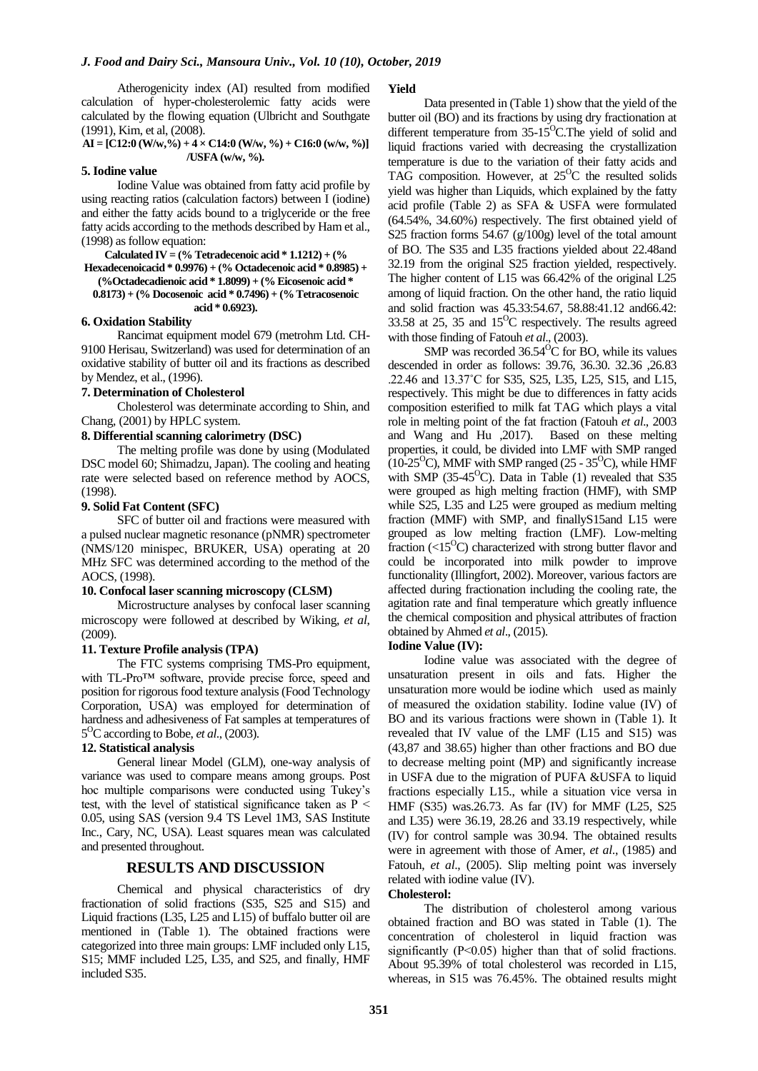Atherogenicity index (AI) resulted from modified calculation of hyper-cholesterolemic fatty acids were calculated by the flowing equation (Ulbricht and Southgate (1991), Kim, et al, (2008).

**AI = [C12:0 (W/w,%) + 4 × C14:0 (W/w, %) + C16:0 (w/w, %)] /USFA (w/w, %).**

#### **5. Iodine value**

Iodine Value was obtained from fatty acid profile by using reacting ratios (calculation factors) between I (iodine) and either the fatty acids bound to a triglyceride or the free fatty acids according to the methods described by Ham et al., (1998) as follow equation:

### **Calculated IV = (% Tetradecenoic acid \* 1.1212) + (% Hexadecenoicacid \* 0.9976) + (% Octadecenoic acid \* 0.8985) + (%Octadecadienoic acid \* 1.8099) + (% Eicosenoic acid \* 0.8173) + (% Docosenoic acid \* 0.7496) + (% Tetracosenoic acid \* 0.6923).**

### **6. Oxidation Stability**

Rancimat equipment model 679 (metrohm Ltd. CH-9100 Herisau, Switzerland) was used for determination of an oxidative stability of butter oil and its fractions as described by Mendez, et al., (1996).

## **7. Determination of Cholesterol**

Cholesterol was determinate according to Shin, and Chang, (2001) by HPLC system.

### **8. Differential scanning calorimetry (DSC)**

The melting profile was done by using (Modulated DSC model 60; Shimadzu, Japan). The cooling and heating rate were selected based on reference method by AOCS, (1998).

# **9. Solid Fat Content (SFC)**

SFC of butter oil and fractions were measured with a pulsed nuclear magnetic resonance (pNMR) spectrometer (NMS/120 minispec, BRUKER, USA) operating at 20 MHz SFC was determined according to the method of the AOCS, (1998).

### **10. Confocal laser scanning microscopy (CLSM)**

Microstructure analyses by confocal laser scanning microscopy were followed at described by Wiking, *et al*, (2009).

# **11. Texture Profile analysis (TPA)**

The FTC systems comprising TMS-Pro equipment, with TL-Pro™ software, provide precise force, speed and position for rigorous food texture analysis (Food Technology Corporation, USA) was employed for determination of hardness and adhesiveness of Fat samples at temperatures of 5 <sup>O</sup>C according to Bobe, *et al*., (2003).

#### **12. Statistical analysis**

General linear Model (GLM), one-way analysis of variance was used to compare means among groups. Post hoc multiple comparisons were conducted using Tukey's test, with the level of statistical significance taken as  $P <$ 0.05, using SAS (version 9.4 TS Level 1M3, SAS Institute Inc., Cary, NC, USA). Least squares mean was calculated and presented throughout.

# **RESULTS AND DISCUSSION**

Chemical and physical characteristics of dry fractionation of solid fractions (S35, S25 and S15) and Liquid fractions (L35, L25 and L15) of buffalo butter oil are mentioned in (Table 1). The obtained fractions were categorized into three main groups: LMF included only L15, S15; MMF included L25, L35, and S25, and finally, HMF included S35.

#### **Yield**

Data presented in (Table 1) show that the yield of the butter oil (BO) and its fractions by using dry fractionation at different temperature from  $35{\text -}15^{\circ}$ C.The yield of solid and liquid fractions varied with decreasing the crystallization temperature is due to the variation of their fatty acids and TAG composition. However, at  $25^{\circ}$ C the resulted solids yield was higher than Liquids, which explained by the fatty acid profile (Table 2) as SFA & USFA were formulated (64.54%, 34.60%) respectively. The first obtained yield of S25 fraction forms 54.67 (g/100g) level of the total amount of BO. The S35 and L35 fractions yielded about 22.48and 32.19 from the original S25 fraction yielded, respectively. The higher content of L15 was 66.42% of the original L25 among of liquid fraction. On the other hand, the ratio liquid and solid fraction was 45.33:54.67, 58.88:41.12 and66.42: 33.58 at 25, 35 and  $15^{\circ}$ C respectively. The results agreed with those finding of Fatouh *et al*., (2003).

SMP was recorded  $36.54^{\circ}$ C for BO, while its values descended in order as follows: 39.76, 36.30. 32.36 ,26.83 .22.46 and 13.37˚C for S35, S25, L35, L25, S15, and L15, respectively. This might be due to differences in fatty acids composition esterified to milk fat TAG which plays a vital role in melting point of the fat fraction (Fatouh *et al*., 2003 and Wang and Hu ,2017). Based on these melting properties, it could, be divided into LMF with SMP ranged  $(10-25^{\circ}\text{C})$ , MMF with SMP ranged  $(25 - 35^{\circ}\text{C})$ , while HMF with SMP (35-45 $^{\circ}$ C). Data in Table (1) revealed that S35 were grouped as high melting fraction (HMF), with SMP while S25, L35 and L25 were grouped as medium melting fraction (MMF) with SMP, and finallyS15and L15 were grouped as low melting fraction (LMF). Low-melting fraction  $(<15^{\circ}$ C) characterized with strong butter flavor and could be incorporated into milk powder to improve functionality (Illingfort, 2002). Moreover, various factors are affected during fractionation including the cooling rate, the agitation rate and final temperature which greatly influence the chemical composition and physical attributes of fraction obtained by Ahmed *et al*., (2015).

#### **Iodine Value (IV):**

Iodine value was associated with the degree of unsaturation present in oils and fats. Higher the unsaturation more would be iodine which used as mainly of measured the oxidation stability. Iodine value (IV) of BO and its various fractions were shown in (Table 1). It revealed that IV value of the LMF (L15 and S15) was (43,87 and 38.65) higher than other fractions and BO due to decrease melting point (MP) and significantly increase in USFA due to the migration of PUFA &USFA to liquid fractions especially L15., while a situation vice versa in HMF (S35) was.26.73. As far (IV) for MMF (L25, S25 and L35) were 36.19, 28.26 and 33.19 respectively, while (IV) for control sample was 30.94. The obtained results were in agreement with those of Amer, *et al*., (1985) and Fatouh, *et al*., (2005). Slip melting point was inversely related with iodine value (IV).

### **Cholesterol:**

The distribution of cholesterol among various obtained fraction and BO was stated in Table (1). The concentration of cholesterol in liquid fraction was significantly (P<0.05) higher than that of solid fractions. About 95.39% of total cholesterol was recorded in L15, whereas, in S15 was 76.45%. The obtained results might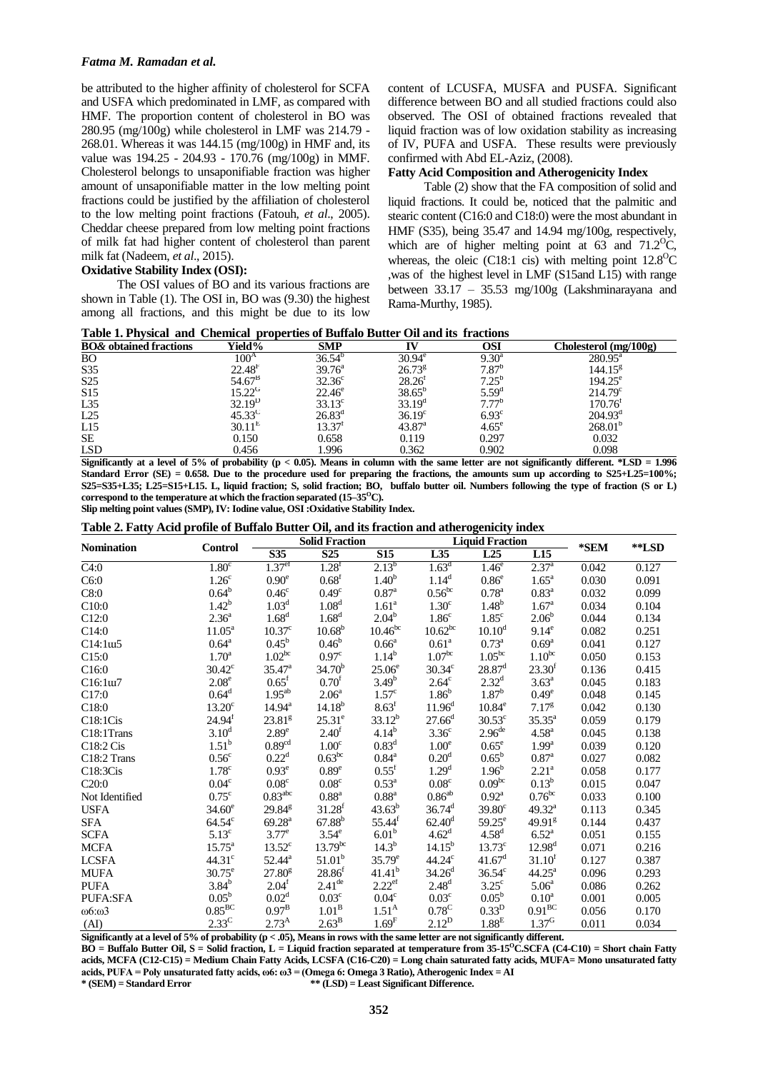# *Fatma M. Ramadan et al.*

be attributed to the higher affinity of cholesterol for SCFA and USFA which predominated in LMF, as compared with HMF. The proportion content of cholesterol in BO was 280.95 (mg/100g) while cholesterol in LMF was 214.79 - 268.01. Whereas it was 144.15 (mg/100g) in HMF and, its value was 194.25 - 204.93 - 170.76 (mg/100g) in MMF. Cholesterol belongs to unsaponifiable fraction was higher amount of unsaponifiable matter in the low melting point fractions could be justified by the affiliation of cholesterol to the low melting point fractions (Fatouh, *et al*., 2005). Cheddar cheese prepared from low melting point fractions of milk fat had higher content of cholesterol than parent milk fat (Nadeem, *et al*., 2015).

### **Oxidative Stability Index (OSI):**

The OSI values of BO and its various fractions are shown in Table (1). The OSI in, BO was (9.30) the highest among all fractions, and this might be due to its low content of LCUSFA, MUSFA and PUSFA. Significant difference between BO and all studied fractions could also observed. The OSI of obtained fractions revealed that liquid fraction was of low oxidation stability as increasing of IV, PUFA and USFA. These results were previously confirmed with Abd EL-Aziz, (2008).

# **Fatty Acid Composition and Atherogenicity Index**

Table (2) show that the FA composition of solid and liquid fractions. It could be, noticed that the palmitic and stearic content (C16:0 and C18:0) were the most abundant in HMF (S35), being 35.47 and 14.94 mg/100g, respectively, which are of higher melting point at 63 and  $71.2^{\circ}$ C, whereas, the oleic (C18:1 cis) with melting point  $12.8^{\circ}$ C ,was of the highest level in LMF (S15and L15) with range between 33.17 – 35.53 mg/100g (Lakshminarayana and Rama-Murthy, 1985).

|  |  |  |  |  |  |  | Table 1. Physical and Chemical properties of Buffalo Butter Oil and its fractions |  |
|--|--|--|--|--|--|--|-----------------------------------------------------------------------------------|--|
|--|--|--|--|--|--|--|-----------------------------------------------------------------------------------|--|

| <b>BO</b> & obtained fractions | Yield%             | <b>SMP</b>         |                    | OSI               | Cholesterol (mg/100g) |
|--------------------------------|--------------------|--------------------|--------------------|-------------------|-----------------------|
| <b>BO</b>                      | $100^A$            | $36.54^{b}$        | $30.94^e$          | $9.30^{\rm a}$    | $280.95^{\text{a}}$   |
| S35                            | 22.48 <sup>F</sup> | $39.76^{\circ}$    | $26.73^{8}$        | $7.87^{b}$        | 144.15 <sup>g</sup>   |
| S <sub>25</sub>                | 54.67 <sup>B</sup> | $32.36^{\circ}$    | $28.26^{\circ}$    | $7.25^{b}$        | $194.25^e$            |
| S15                            | $15.22^G$          | $22.46^{\circ}$    | $38.65^{b}$        | $5.59^{d}$        | $214.79^{\circ}$      |
| L35                            | $32.19^{\rm D}$    | $33.13^{\circ}$    | $33.19^d$          | $7.77^{b}$        | 170.76 <sup>t</sup>   |
| L25                            | $45.33^{\circ}$    | $26.83^d$          | $36.19^{\circ}$    | 6.93 <sup>c</sup> | $204.93^{\rm d}$      |
| L15                            | $30.11^{\text{E}}$ | 13.37 <sup>t</sup> | 43.87 <sup>a</sup> | $4.65^{\circ}$    | 268.01 <sup>b</sup>   |
| SE                             | 0.150              | 0.658              | 0.119              | 0.297             | 0.032                 |
| <b>LSD</b>                     | 0.456              | 1.996              | 0.362              | 0.902             | 0.098                 |

**Significantly at a level of 5% of probability (p < 0.05). Means in column with the same letter are not significantly different. \*LSD = 1.996 Standard Error (SE) = 0.658. Due to the procedure used for preparing the fractions, the amounts sum up according to S25+L25=100%; S25=S35+L35; L25=S15+L15. L, liquid fraction; S, solid fraction; BO, buffalo butter oil. Numbers following the type of fraction (S or L) correspond to the temperature at which the fraction separated**  $(15-35^{\circ}C)$ **.** 

**Slip melting point values (SMP), IV: Iodine value, OSI :Oxidative Stability Index.** 

**Table 2. Fatty Acid profile of Buffalo Butter Oil, and its fraction and atherogenicity index**

| <b>Nomination</b>                 |                    | <b>Solid Fraction</b> |                     |                      | <b>Liquid Fraction</b> |                      |                     | *SEM  | **LSD |
|-----------------------------------|--------------------|-----------------------|---------------------|----------------------|------------------------|----------------------|---------------------|-------|-------|
|                                   | <b>Control</b>     | S35                   | $\overline{S25}$    | <b>S15</b>           | L35                    | L25                  | L15                 |       |       |
| $\overline{C4:0}$                 | 1.80 <sup>c</sup>  | 1.37 <sup>ef</sup>    | $1.28$ <sup>f</sup> | $2.13^{b}$           | 1.63 <sup>d</sup>      | 1.46 <sup>e</sup>    | $2.37^{a}$          | 0.042 | 0.127 |
| C6:0                              | 1.26 <sup>c</sup>  | $0.90^\mathrm{e}$     | 0.68 <sup>f</sup>   | $1.40^{b}$           | 1.14 <sup>d</sup>      | 0.86 <sup>e</sup>    | 1.65 <sup>a</sup>   | 0.030 | 0.091 |
| C8:0                              | $0.64^{\rm b}$     | 0.46 <sup>c</sup>     | 0.49 <sup>c</sup>   | $0.87$ <sup>a</sup>  | $0.56^{bc}$            | $0.78^{a}$           | 0.83 <sup>a</sup>   | 0.032 | 0.099 |
| C10:0                             | $1.42^{b}$         | 1.03 <sup>d</sup>     | 1.08 <sup>d</sup>   | 1.61 <sup>a</sup>    | 1.30 <sup>c</sup>      | $1.48^{b}$           | $1.67^{\rm a}$      | 0.034 | 0.104 |
| C12:0                             | $2.36^{a}$         | 1.68 <sup>d</sup>     | 1.68 <sup>d</sup>   | $2.04^{b}$           | 1.86 <sup>c</sup>      | 1.85 <sup>c</sup>    | $2.06^{b}$          | 0.044 | 0.134 |
| C14:0                             | $11.05^{\text{a}}$ | 10.37 <sup>c</sup>    | $10.68^{b}$         | 10.46 <sup>bc</sup>  | $10.62^{bc}$           | $10.10^d$            | $9.14^e$            | 0.082 | 0.251 |
| C14:1 <sub>u5</sub>               | $0.64^{\rm a}$     | $0.45^{\rm b}$        | $0.46^{\rm b}$      | $0.66^{\rm a}$       | 0.61 <sup>a</sup>      | $0.73^{\rm a}$       | $0.69^{\rm a}$      | 0.041 | 0.127 |
| C15:0                             | $1.70^{\rm a}$     | 1.02 <sup>bc</sup>    | 0.97 <sup>c</sup>   | $1.14^{b}$           | 1.07 <sup>bc</sup>     | 1.05 <sup>bc</sup>   | $1.10^{bc}$         | 0.050 | 0.153 |
| C16:0                             | $30.42^{\circ}$    | $35.47^{\rm a}$       | $34.70^{b}$         | 25.06 <sup>e</sup>   | $30.34^{\circ}$        | $28.87$ <sup>d</sup> | 23.30 <sup>f</sup>  | 0.136 | 0.415 |
| C16:1u7                           | $2.08^e$           | $0.65^{\rm f}$        | 0.70 <sup>f</sup>   | $3.49^{b}$           | $2.64^{\circ}$         | $2.32^{\rm d}$       | $3.63^a$            | 0.045 | 0.183 |
| C17:0                             | $0.64^d$           | $1.95^{ab}$           | 2.06 <sup>a</sup>   | $1.57^c$             | 1.86 <sup>b</sup>      | $1.87^{b}$           | $0.49^\mathrm{e}$   | 0.048 | 0.145 |
| C18:0                             | 13.20 <sup>c</sup> | $14.94^{\rm a}$       | $14.18^{b}$         | 8.63 <sup>f</sup>    | 11.96 <sup>d</sup>     | $10.84^e$            | 7.17 <sup>g</sup>   | 0.042 | 0.130 |
| C18:1Cis                          | $24.94^f$          | 23.81 <sup>g</sup>    | $25.31^e$           | $33.12^{b}$          | $27.66^d$              | $30.53^{\circ}$      | $35.35^{\circ}$     | 0.059 | 0.179 |
| C18:1Trans                        | 3.10 <sup>d</sup>  | 2.89 <sup>e</sup>     | 2.40 <sup>f</sup>   | $4.14^{b}$           | 3.36 <sup>c</sup>      | 2.96 <sup>de</sup>   | $4.58^{a}$          | 0.045 | 0.138 |
| C <sub>18:2</sub> C <sub>is</sub> | $1.51^{\rm b}$     | 0.89 <sup>cd</sup>    | 1.00 <sup>c</sup>   | 0.83 <sup>d</sup>    | 1.00 <sup>e</sup>      | $0.65^e$             | 1.99 <sup>a</sup>   | 0.039 | 0.120 |
| C <sub>18</sub> :2 Trans          | 0.56 <sup>c</sup>  | $0.22^d$              | $0.63^{bc}$         | $0.84^{a}$           | 0.20 <sup>d</sup>      | $0.65^{\rm b}$       | $0.87$ <sup>a</sup> | 0.027 | 0.082 |
| C18:3Cis                          | $1.78^{\circ}$     | $0.93^e$              | 0.89 <sup>e</sup>   | $0.55^{\rm f}$       | 1.29 <sup>d</sup>      | 1.96 <sup>b</sup>    | $2.21^a$            | 0.058 | 0.177 |
| C20:0                             | 0.04 <sup>c</sup>  | $0.08^{\circ}$        | 0.08 <sup>c</sup>   | $0.53^{\rm a}$       | 0.08 <sup>c</sup>      | 0.09 <sup>bc</sup>   | $0.13^{b}$          | 0.015 | 0.047 |
| Not Identified                    | $0.75^{\circ}$     | $0.83^{\rm abc}$      | $0.88$ <sup>a</sup> | $0.88$ <sup>a</sup>  | $0.86^{ab}$            | $0.92^{\rm a}$       | $0.76^{bc}$         | 0.033 | 0.100 |
| <b>USFA</b>                       | $34.60^e$          | $29.84^{\text{g}}$    | $31.28^{f}$         | $43.63^{b}$          | $36.74^d$              | $39.80^\circ$        | $49.32^{a}$         | 0.113 | 0.345 |
| <b>SFA</b>                        | $64.54^{\circ}$    | 69.28 <sup>a</sup>    | $67.88^{b}$         | $55.44^{f}$          | $62.40^d$              | $59.25^{\circ}$      | 49.91 <sup>g</sup>  | 0.144 | 0.437 |
| <b>SCFA</b>                       | 5.13 <sup>c</sup>  | 3.77 <sup>e</sup>     | 3.54 <sup>e</sup>   | 6.01 <sup>b</sup>    | 4.62 <sup>d</sup>      | 4.58 <sup>d</sup>    | $6.52^{\rm a}$      | 0.051 | 0.155 |
| <b>MCFA</b>                       | $15.75^{\circ}$    | $13.52^{\circ}$       | $13.79^{bc}$        | $14.3^{b}$           | $14.15^{b}$            | $13.73^{\circ}$      | $12.98^{d}$         | 0.071 | 0.216 |
| <b>LCSFA</b>                      | $44.31^{\circ}$    | $52.44^{\circ}$       | $51.01^b$           | $35.79^e$            | $44.24^\circ$          | $41.67^{\rm d}$      | $31.10^{t}$         | 0.127 | 0.387 |
| <b>MUFA</b>                       | $30.75^{\circ}$    | 27.80 <sup>g</sup>    | $28.86^{f}$         | $41.41^{b}$          | $34.26^{\rm d}$        | $36.54^{\circ}$      | $44.25^{\text{a}}$  | 0.096 | 0.293 |
| <b>PUFA</b>                       | $3.84^{b}$         | 2.04 <sup>f</sup>     | $2.41^{\text{de}}$  | $2.22$ <sup>ef</sup> | $2.48^{d}$             | $3.25^{\circ}$       | 5.06 <sup>a</sup>   | 0.086 | 0.262 |
| PUFA:SFA                          | $0.05^{\rm b}$     | 0.02 <sup>d</sup>     | 0.03 <sup>c</sup>   | $0.04^{\circ}$       | 0.03 <sup>c</sup>      | $0.05^{\rm b}$       | $0.10^a$            | 0.001 | 0.005 |
| $\omega$ 6: $\omega$ 3            | $0.85^{\rm BC}$    | $0.97^{B}$            | 1.01 <sup>B</sup>   | $1.51^{A}$           | $0.78^{\circ}$         | 0.33 <sup>D</sup>    | $0.91^{BC}$         | 0.056 | 0.170 |
| (AI)                              | $2.33^{\circ}$     | $2.73^{A}$            | $2.63^{\mathrm{B}}$ | 1.69 <sup>F</sup>    | $2.12^{D}$             | 1.88 <sup>E</sup>    | $1.37^{G}$          | 0.011 | 0.034 |

**Significantly at a level of 5% of probability (p < .05), Means in rows with the same letter are not significantly different.** 

**BO = Buffalo Butter Oil, S = Solid fraction, L = Liquid fraction separated at temperature from 35-15<sup>O</sup>C.SCFA (C4-C10) = Short chain Fatty acids, MCFA (C12-C15) = Medium Chain Fatty Acids, LCSFA (C16-C20) = Long chain saturated fatty acids, MUFA= Mono unsaturated fatty acids, PUFA = Poly unsaturated fatty acids, ω6: ω3 = (Omega 6: Omega 3 Ratio), Atherogenic Index = AI \* (SEM) = Standard Error \*\* (LSD) = Least Significant Difference.**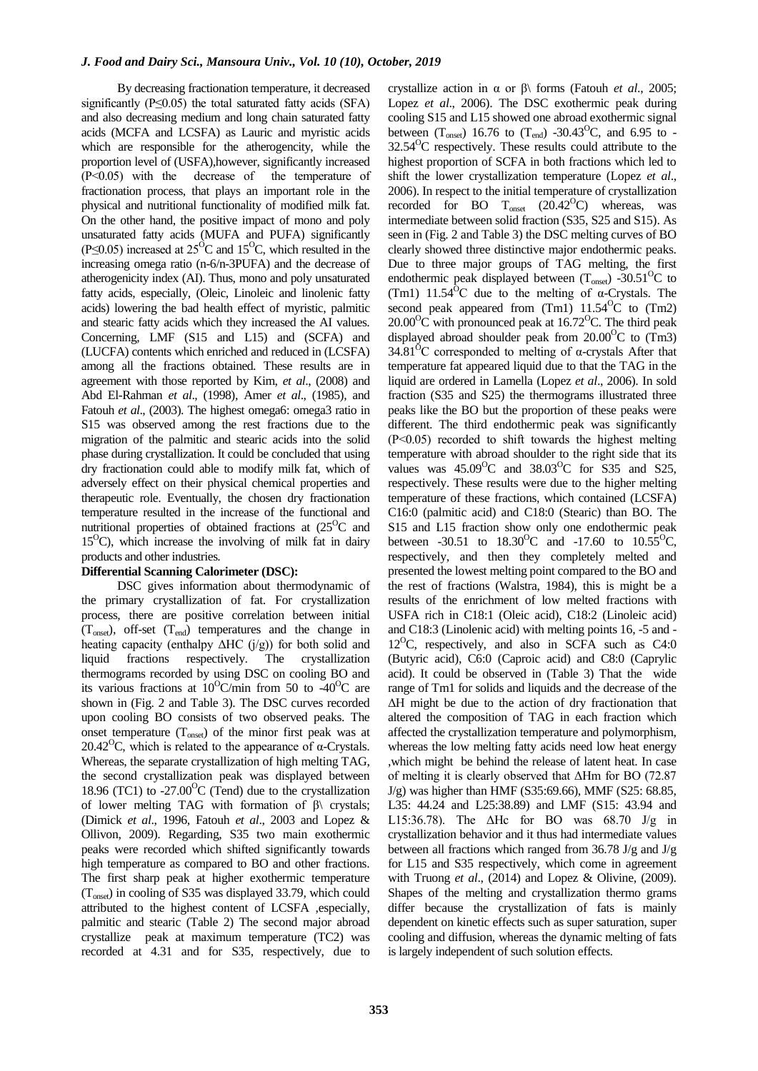By decreasing fractionation temperature, it decreased significantly ( $P \le 0.05$ ) the total saturated fatty acids (SFA) and also decreasing medium and long chain saturated fatty acids (MCFA and LCSFA) as Lauric and myristic acids which are responsible for the atherogencity, while the proportion level of (USFA),however, significantly increased (P˂0.05) with the decrease of the temperature of fractionation process, that plays an important role in the physical and nutritional functionality of modified milk fat. On the other hand, the positive impact of mono and poly unsaturated fatty acids (MUFA and PUFA) significantly (P $\leq$ 0.05) increased at 25<sup>o</sup>C and 15<sup>o</sup>C, which resulted in the increasing omega ratio (n-6/n-3PUFA) and the decrease of atherogenicity index (AI). Thus, mono and poly unsaturated fatty acids, especially, (Oleic, Linoleic and linolenic fatty acids) lowering the bad health effect of myristic, palmitic and stearic fatty acids which they increased the AI values. Concerning, LMF (S15 and L15) and (SCFA) and (LUCFA) contents which enriched and reduced in (LCSFA) among all the fractions obtained. These results are in agreement with those reported by Kim, *et al*., (2008) and Abd El-Rahman *et al*., (1998), Amer *et al*., (1985), and Fatouh *et al.*, (2003). The highest omega6: omega3 ratio in S15 was observed among the rest fractions due to the migration of the palmitic and stearic acids into the solid phase during crystallization. It could be concluded that using dry fractionation could able to modify milk fat, which of adversely effect on their physical chemical properties and therapeutic role. Eventually, the chosen dry fractionation temperature resulted in the increase of the functional and nutritional properties of obtained fractions at  $(25^{\circ}C)$  and  $15^{\circ}$ C), which increase the involving of milk fat in dairy products and other industries.

# **Differential Scanning Calorimeter (DSC):**

DSC gives information about thermodynamic of the primary crystallization of fat. For crystallization process, there are positive correlation between initial  $(T_{onset})$ , off-set  $(T_{end})$  temperatures and the change in heating capacity (enthalpy ΔHC (j/g)) for both solid and liquid fractions respectively. The crystallization thermograms recorded by using DSC on cooling BO and its various fractions at  $10^{\circ}$ C/min from 50 to -40<sup>°</sup>C are shown in (Fig. 2 and Table 3). The DSC curves recorded upon cooling BO consists of two observed peaks. The onset temperature  $(T_{onset})$  of the minor first peak was at 20.42<sup>o</sup>C, which is related to the appearance of  $\alpha$ -Crystals. Whereas, the separate crystallization of high melting TAG, the second crystallization peak was displayed between 18.96 (TC1) to  $-27.00^{\circ}$ C (Tend) due to the crystallization of lower melting TAG with formation of  $\beta$ \ crystals; (Dimick *et al*., 1996, Fatouh *et al*., 2003 and Lopez & Ollivon, 2009). Regarding, S35 two main exothermic peaks were recorded which shifted significantly towards high temperature as compared to BO and other fractions. The first sharp peak at higher exothermic temperature (Tonset) in cooling of S35 was displayed 33.79, which could attributed to the highest content of LCSFA ,especially, palmitic and stearic (Table 2) The second major abroad crystallize peak at maximum temperature (TC2) was recorded at 4.31 and for S35, respectively, due to crystallize action in α or β\ forms (Fatouh *et al*., 2005; Lopez *et al*., 2006). The DSC exothermic peak during cooling S15 and L15 showed one abroad exothermic signal between  $(T_{onset})$  16.76 to  $(T_{end})$  -30.43<sup>o</sup>C, and 6.95 to - $32.54<sup>o</sup>C$  respectively. These results could attribute to the highest proportion of SCFA in both fractions which led to shift the lower crystallization temperature (Lopez *et al*., 2006). In respect to the initial temperature of crystallization recorded for BO  $T_{onset}$  (20.42<sup>o</sup>C) whereas, was intermediate between solid fraction (S35, S25 and S15). As seen in (Fig. 2 and Table 3) the DSC melting curves of BO clearly showed three distinctive major endothermic peaks. Due to three major groups of TAG melting, the first endothermic peak displayed between  $(T_{onset})$  -30.51<sup>o</sup>C to (Tm1)  $11.54^{\circ}$ C due to the melting of  $\alpha$ -Crystals. The second peak appeared from  $(Tm1)$  11.54<sup>o</sup>C to  $(Tm2)$  $20.00^{\circ}$ C with pronounced peak at 16.72 $^{\circ}$ C. The third peak displayed abroad shoulder peak from  $20.00^{\circ}$ C to (Tm3) 34.81<sup>o</sup>C corresponded to melting of  $\alpha$ -crystals After that temperature fat appeared liquid due to that the TAG in the liquid are ordered in Lamella (Lopez *et al*., 2006). In sold fraction (S35 and S25) the thermograms illustrated three peaks like the BO but the proportion of these peaks were different. The third endothermic peak was significantly (P˂0.05) recorded to shift towards the highest melting temperature with abroad shoulder to the right side that its values was  $45.09^{\circ}$ C and  $38.03^{\circ}$ C for S35 and S25, respectively. These results were due to the higher melting temperature of these fractions, which contained (LCSFA) C16:0 (palmitic acid) and C18:0 (Stearic) than BO. The S15 and L15 fraction show only one endothermic peak between -30.51 to  $18.30^{\circ}\text{C}$  and -17.60 to  $10.55^{\circ}\text{C}$ , respectively, and then they completely melted and presented the lowest melting point compared to the BO and the rest of fractions (Walstra, 1984), this is might be a results of the enrichment of low melted fractions with USFA rich in C18:1 (Oleic acid), C18:2 (Linoleic acid) and C18:3 (Linolenic acid) with melting points 16, -5 and -  $12^{\circ}$ C, respectively, and also in SCFA such as C4:0 (Butyric acid), C6:0 (Caproic acid) and C8:0 (Caprylic acid). It could be observed in (Table 3) That the wide range of Tm1 for solids and liquids and the decrease of the ΔH might be due to the action of dry fractionation that altered the composition of TAG in each fraction which affected the crystallization temperature and polymorphism, whereas the low melting fatty acids need low heat energy ,which might be behind the release of latent heat. In case of melting it is clearly observed that ΔHm for BO (72.87 J/g) was higher than HMF (S35:69.66), MMF (S25: 68.85, L35: 44.24 and L25:38.89) and LMF (S15: 43.94 and L15:36.78). The  $\Delta$ Hc for BO was 68.70 J/g in crystallization behavior and it thus had intermediate values between all fractions which ranged from 36.78 J/g and J/g for L15 and S35 respectively, which come in agreement with Truong *et al*., (2014) and Lopez & Olivine, (2009). Shapes of the melting and crystallization thermo grams differ because the crystallization of fats is mainly dependent on kinetic effects such as super saturation, super cooling and diffusion, whereas the dynamic melting of fats is largely independent of such solution effects.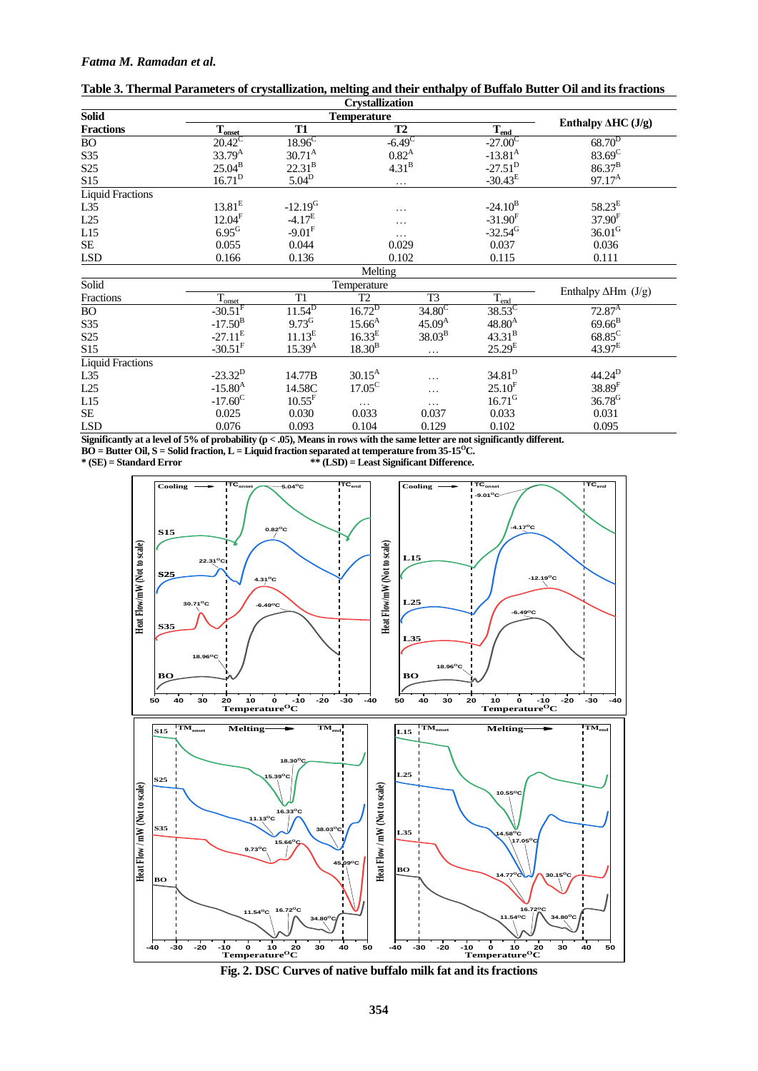# *Fatma M. Ramadan et al.*

|                         |                       |                       | <b>Crystallization</b> |                      |                       |                             |
|-------------------------|-----------------------|-----------------------|------------------------|----------------------|-----------------------|-----------------------------|
| <b>Solid</b>            |                       |                       | <b>Temperature</b>     |                      |                       |                             |
| <b>Fractions</b>        | T <sub>onset</sub>    | <b>T1</b>             |                        | <b>T2</b>            | $T_{end}$             | Enthalpy $\Delta H C (J/g)$ |
| <b>BO</b>               | $20.42^{\circ}$       | $18.96^{\circ}$       |                        | $-6.49$ <sup>C</sup> | $-27.00^{\circ}$      | $68.70^{D}$                 |
| S35                     | 33.79 <sup>A</sup>    | $30.71^{A}$           |                        | $0.82^{A}$           | $-13.81^{\rm A}$      | $83.69^C$                   |
| S <sub>25</sub>         | $25.04^{B}$           | $22.31^{B}$           |                        | 4.31 <sup>B</sup>    | $-27.51^{D}$          | $86.37^{B}$                 |
| S15                     | 16.71 <sup>D</sup>    | $5.04^D$              |                        | .                    | $-30.43^{E}$          | $97.17^{\text{A}}$          |
| <b>Liquid Fractions</b> |                       |                       |                        |                      |                       |                             |
| L35                     | $13.81^{\rm E}$       | $-12.19$ <sup>G</sup> |                        | .                    | $-24.10^{B}$          | $58.23^E$                   |
| L25                     | 12.04 <sup>F</sup>    | $-4.17^{\rm E}$       |                        | .                    | $-31.90$ <sup>F</sup> | $37.90^{F}$                 |
| L15                     | $6.95$ <sup>G</sup>   | $-9.01$ <sup>F</sup>  |                        | .                    | $-32.54$ <sup>G</sup> | $36.01$ <sup>G</sup>        |
| SE                      | 0.055                 | 0.044                 |                        | 0.029                | 0.037                 | 0.036                       |
| LSD                     | 0.166                 | 0.136                 |                        | 0.102                | 0.115                 | 0.111                       |
|                         |                       |                       | Melting                |                      |                       |                             |
| Solid                   |                       |                       | Temperature            |                      |                       |                             |
| Fractions               | $T_{onset}$           | T <sub>1</sub>        | T <sub>2</sub>         | T <sub>3</sub>       | $T_{\text{end}}$      | Enthalpy $\Delta Hm$ (J/g)  |
| BO                      | $-30.51$ <sup>F</sup> | $11.54^{D}$           | $16.72^D$              | $34.80^{\circ}$      | $38.53^C$             | $72.87^{\rm A}$             |
| S35                     | $-17.50^{B}$          | $9.73$ <sup>G</sup>   | $15.66^{A}$            | $45.09^{A}$          | $48.80^{A}$           | $69.66^{B}$                 |
| S <sub>25</sub>         | $-27.11^E$            | 11.13 <sup>E</sup>    | $16.33^{E}$            | 38.03 <sup>B</sup>   | $43.31^{B}$           | $68.85^C$                   |
| S <sub>15</sub>         | $-30.51$ <sup>F</sup> | $15.39^{A}$           | $18.30^{B}$            | .                    | $25.29^{E}$           | $43.97^{\rm E}$             |
| <b>Liquid Fractions</b> |                       |                       |                        |                      |                       |                             |
| L35                     | $-23.32^{D}$          | 14.77B                | $30.15^{A}$            | .                    | $34.81^{\rm D}$       | $44.24^D$                   |
| L25                     | $-15.80^{A}$          | 14.58C                | $17.05^{\circ}$        | .                    | $25.10^{F}$           | 38.89 <sup>F</sup>          |
| L15                     | $-17.60^{\circ}$      | $10.55$ <sup>F</sup>  | $\cdots$               | .                    | $16.71$ <sup>G</sup>  | $36.78$ <sup>G</sup>        |
| <b>SE</b>               | 0.025                 | 0.030                 | 0.033                  | 0.037                | 0.033                 | 0.031                       |
| LSD                     | 0.076                 | 0.093                 | 0.104                  | 0.129                | 0.102                 | 0.095                       |

| Table 3. Thermal Parameters of crystallization, melting and their enthalpy of Buffalo Butter Oil and its fractions |  |  |
|--------------------------------------------------------------------------------------------------------------------|--|--|
|                                                                                                                    |  |  |

**Significantly at a level of 5% of probability (p < .05), Means in rows with the same letter are not significantly different.** 

**BO = Butter Oil, S = Solid fraction, L = Liquid fraction separated at temperature from 35-15<sup>O</sup>C.**

**\* (SE) = Standard Error \*\* (LSD) = Least Significant Difference.**



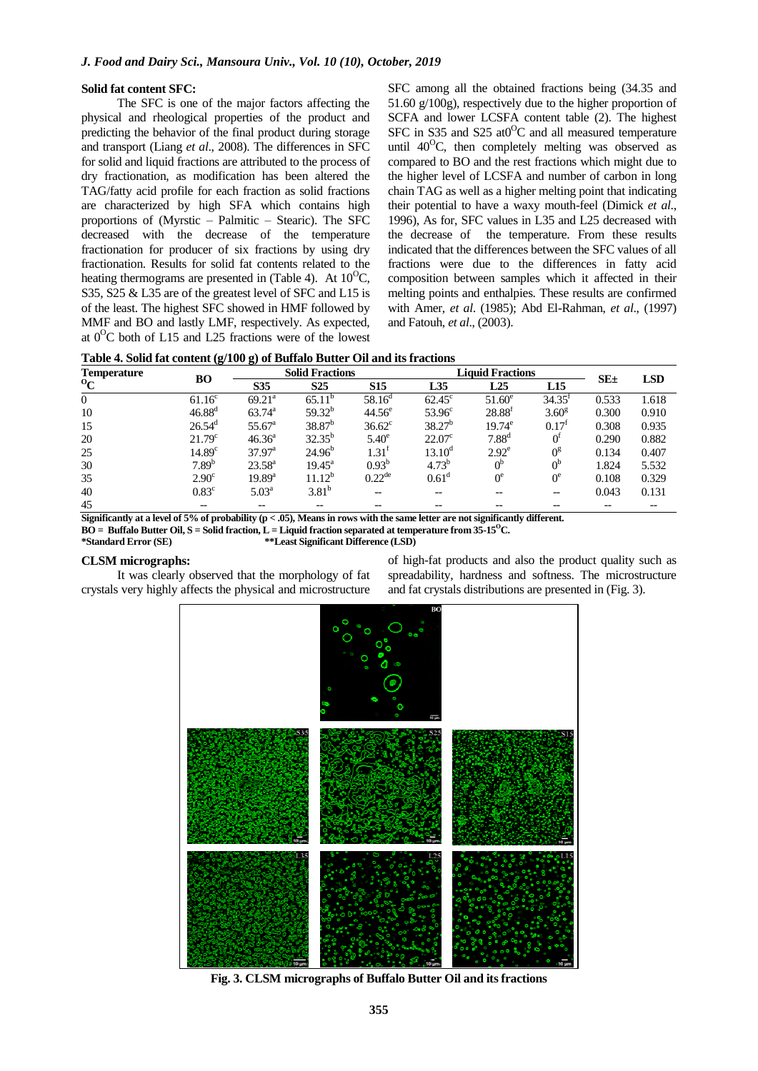### **Solid fat content SFC:**

The SFC is one of the major factors affecting the physical and rheological properties of the product and predicting the behavior of the final product during storage and transport (Liang *et al*., 2008). The differences in SFC for solid and liquid fractions are attributed to the process of dry fractionation, as modification has been altered the TAG/fatty acid profile for each fraction as solid fractions are characterized by high SFA which contains high proportions of (Myrstic – Palmitic – Stearic). The SFC decreased with the decrease of the temperature fractionation for producer of six fractions by using dry fractionation. Results for solid fat contents related to the heating thermograms are presented in (Table 4). At  $10^{0}$ C, S35, S25 & L35 are of the greatest level of SFC and L15 is of the least. The highest SFC showed in HMF followed by MMF and BO and lastly LMF, respectively. As expected, at  $0^{\circ}$ C both of L15 and L25 fractions were of the lowest SFC among all the obtained fractions being (34.35 and 51.60 g/100g), respectively due to the higher proportion of SCFA and lower LCSFA content table (2). The highest SFC in S35 and S25 at  $0^{\circ}$ C and all measured temperature until  $40^{\circ}$ C, then completely melting was observed as compared to BO and the rest fractions which might due to the higher level of LCSFA and number of carbon in long chain TAG as well as a higher melting point that indicating their potential to have a waxy mouth-feel (Dimick *et al*., 1996), As for, SFC values in L35 and L25 decreased with the decrease of the temperature. From these results indicated that the differences between the SFC values of all fractions were due to the differences in fatty acid composition between samples which it affected in their melting points and enthalpies. These results are confirmed with Amer, *et al*. (1985); Abd El-Rahman, *et al*., (1997) and Fatouh, *et al*., (2003).

|  |  | Table 4. Solid fat content (g/100 g) of Buffalo Butter Oil and its fractions |
|--|--|------------------------------------------------------------------------------|
|--|--|------------------------------------------------------------------------------|

| <b>Temperature</b> |                    | <b>Solid Fractions</b><br>BО |                 |                    | <b>Liquid Fractions</b> | $SE_{\pm}$     | <b>LSD</b>         |       |       |
|--------------------|--------------------|------------------------------|-----------------|--------------------|-------------------------|----------------|--------------------|-------|-------|
| $\mathbf{O}_C$     |                    | S35                          | S <sub>25</sub> | <b>S15</b>         | L35                     | L25            | L15                |       |       |
| $\Omega$           | $61.16^c$          | $69.21^a$                    | $65.11^{b}$     | $58.16^{\rm d}$    | $62.45^{\circ}$         | $51.60^e$      | $34.35^{\text{t}}$ | 0.533 | 1.618 |
| 10                 | $46.88^{d}$        | $63.74^{\circ}$              | $59.32^{b}$     | $44.56^{\circ}$    | $53.96^\circ$           | $28.88^t$      | 3.60 <sup>g</sup>  | 0.300 | 0.910 |
| 15                 | $26.54^{\rm d}$    | $55.67^{\circ}$              | $38.87^{b}$     | $36.62^{\circ}$    | $38.27^{b}$             | $19.74^e$      | 0.17 <sup>t</sup>  | 0.308 | 0.935 |
| 20                 | 21.79 <sup>c</sup> | $46.36^{\circ}$              | $32.35^{b}$     | $5.40^\circ$       | $22.07^{\circ}$         | $7.88^{d}$     | 0 <sub>I</sub>     | 0.290 | 0.882 |
| 25                 | 14.89 <sup>c</sup> | $37.97^{\text{a}}$           | $24.96^{b}$     | $1.31^{\text{t}}$  | $13.10^{\rm d}$         | $2.92^e$       | $0^{\rm g}$        | 0.134 | 0.407 |
| 30                 | 7.89 <sup>b</sup>  | $23.58^{\rm a}$              | $19.45^{\circ}$ | $0.93^{b}$         | $4.73^{b}$              | 0 <sup>b</sup> | 0 <sup>b</sup>     | 1.824 | 5.532 |
| 35                 | $2.90^{\circ}$     | $19.89^{a}$                  | $11.12^b$       | $0.22^{\text{de}}$ | 0.61 <sup>d</sup>       | $0^e$          | $0^e$              | 0.108 | 0.329 |
| 40                 | $0.83^{\circ}$     | $5.03^{\rm a}$               | $3.81^{b}$      | --                 |                         |                | $- -$              | 0.043 | 0.131 |
| 45                 | $-$                |                              |                 |                    |                         |                |                    |       |       |

**Significantly at a level of 5% of probability (p < .05), Means in rows with the same letter are not significantly different.** 

**BO = Buffalo Butter Oil, S = Solid fraction, L = Liquid fraction separated at temperature from**  $35-15^{\circ}$ **C.**<br>\*\*Least Significant Difference (LSD) **\*Standard Error (SE) \*\*Least Significant Difference (LSD)**

# **CLSM micrographs:**

It was clearly observed that the morphology of fat crystals very highly affects the physical and microstructure of high-fat products and also the product quality such as spreadability, hardness and softness. The microstructure and fat crystals distributions are presented in (Fig. 3).



**Fig. 3. CLSM micrographs of Buffalo Butter Oil and its fractions**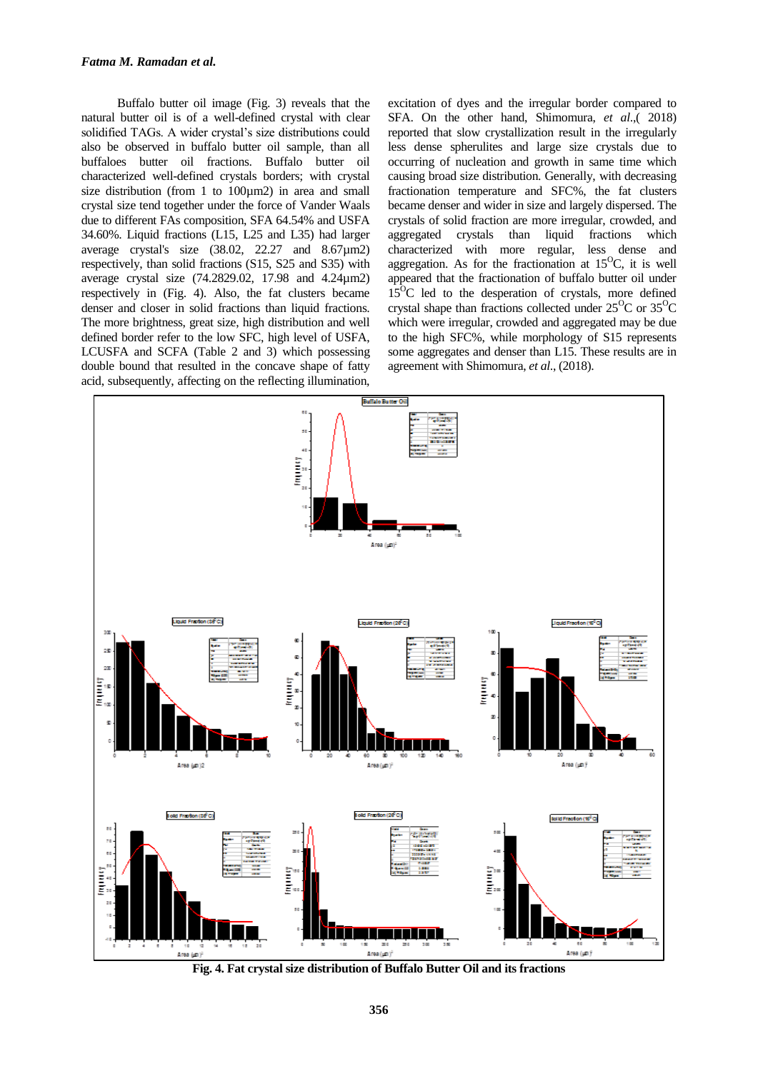Buffalo butter oil image (Fig. 3) reveals that the natural butter oil is of a well-defined crystal with clear solidified TAGs. A wider crystal's size distributions could also be observed in buffalo butter oil sample, than all buffaloes butter oil fractions. Buffalo butter oil characterized well-defined crystals borders; with crystal size distribution (from 1 to 100µm2) in area and small crystal size tend together under the force of Vander Waals due to different FAs composition, SFA 64.54% and USFA 34.60%. Liquid fractions (L15, L25 and L35) had larger average crystal's size (38.02, 22.27 and 8.67µm2) respectively, than solid fractions (S15, S25 and S35) with average crystal size (74.2829.02, 17.98 and 4.24µm2) respectively in (Fig. 4). Also, the fat clusters became denser and closer in solid fractions than liquid fractions. The more brightness, great size, high distribution and well defined border refer to the low SFC, high level of USFA, LCUSFA and SCFA (Table 2 and 3) which possessing double bound that resulted in the concave shape of fatty acid, subsequently, affecting on the reflecting illumination,

excitation of dyes and the irregular border compared to SFA. On the other hand, Shimomura, *et al*.,( 2018) reported that slow crystallization result in the irregularly less dense spherulites and large size crystals due to occurring of nucleation and growth in same time which causing broad size distribution. Generally, with decreasing fractionation temperature and SFC%, the fat clusters became denser and wider in size and largely dispersed. The crystals of solid fraction are more irregular, crowded, and aggregated crystals than liquid fractions which characterized with more regular, less dense and aggregation. As for the fractionation at  $15^{\circ}$ C, it is well appeared that the fractionation of buffalo butter oil under  $15^{\circ}$ C led to the desperation of crystals, more defined crystal shape than fractions collected under  $25^{\circ}$ C or  $35^{\circ}$ C which were irregular, crowded and aggregated may be due to the high SFC%, while morphology of S15 represents some aggregates and denser than L15. These results are in agreement with Shimomura, *et al*., (2018).



**Fig. 4. Fat crystal size distribution of Buffalo Butter Oil and its fractions**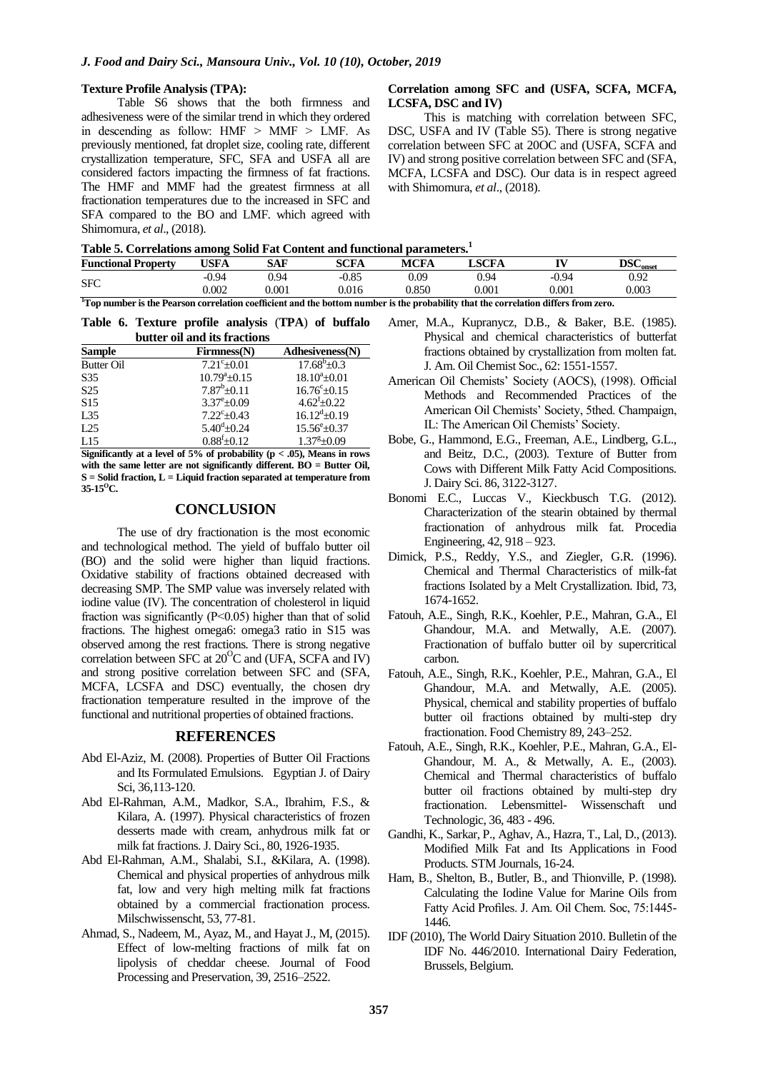#### **Texture Profile Analysis (TPA):**

Table S6 shows that the both firmness and adhesiveness were of the similar trend in which they ordered in descending as follow:  $HMF > MMF > LMF$ . As previously mentioned, fat droplet size, cooling rate, different crystallization temperature, SFC, SFA and USFA all are considered factors impacting the firmness of fat fractions. The HMF and MMF had the greatest firmness at all fractionation temperatures due to the increased in SFC and SFA compared to the BO and LMF. which agreed with Shimomura, *et al*., (2018).

## **Correlation among SFC and (USFA, SCFA, MCFA, LCSFA, DSC and IV)**

This is matching with correlation between SFC, DSC, USFA and IV (Table S5). There is strong negative correlation between SFC at 20OC and (USFA, SCFA and IV) and strong positive correlation between SFC and (SFA, MCFA, LCSFA and DSC). Our data is in respect agreed with Shimomura, *et al*., (2018).

| <b>Functional Property</b> | <b>USFA</b> | CAF<br>эAг | <b>SCFA</b> | <b>MCFA</b> | SCFA                 | TV <sub>1</sub> | $\rm{DSC}_{onset}$ |
|----------------------------|-------------|------------|-------------|-------------|----------------------|-----------------|--------------------|
| <b>SFC</b>                 | $-0.94$     | 0.94       | $-0.85$     | 0.09        | 0.94                 | $-0.94$         | 0.92               |
|                            | 0.002       | $0.001\,$  | 0.016       | 0.850       | 0.001                | $0.001\,$       | 0.003              |
| --<br>.                    | $-$         | $- -$      | ______      | ___         | _ _ _ _ _ _ _<br>$-$ | $  -$<br>__     |                    |

**<sup>1</sup>Top number is the Pearson correlation coefficient and the bottom number is the probability that the correlation differs from zero.**

**Table 6. Texture profile analysis** (**TPA**) **of buffalo butter oil and its fractions**

| <b>Sample</b>     | Firmness(N)             | Adhesiveness(N)          |
|-------------------|-------------------------|--------------------------|
| <b>Butter Oil</b> | $7.21^{\circ}+0.01$     | $17.68^{\rm b} \pm 0.3$  |
| S <sub>35</sub>   | $10.79^{\circ}+0.15$    | $18.10^{a} + 0.01$       |
| S <sub>25</sub>   | $7.87^b + 0.11$         | $16.76^{\circ} \pm 0.15$ |
| S <sub>15</sub>   | $3.37^{\rm e}{\pm}0.09$ | $4.62^{f}+0.22$          |
| L35               | $7.22^{\rm c} + 0.43$   | $16.12^{d}+0.19$         |
| L25               | $5.40^{\rm d}$ ±0.24    | $15.56^{\rm e}{\pm}0.37$ |
| L15               | $0.88^{f}$ ± $0.12$     | $1.37^{\rm g}$ ±0.09     |

**Significantly at a level of 5% of probability (p < .05), Means in rows with the same letter are not significantly different. BO = Butter Oil, S = Solid fraction, L = Liquid fraction separated at temperature from 35-15<sup>O</sup>C.**

# **CONCLUSION**

The use of dry fractionation is the most economic and technological method. The yield of buffalo butter oil (BO) and the solid were higher than liquid fractions. Oxidative stability of fractions obtained decreased with decreasing SMP. The SMP value was inversely related with iodine value (IV). The concentration of cholesterol in liquid fraction was significantly (P˂0.05) higher than that of solid fractions. The highest omega6: omega3 ratio in S15 was observed among the rest fractions. There is strong negative correlation between SFC at  $20^{\circ}$ C and (UFA, SCFA and IV) and strong positive correlation between SFC and (SFA, MCFA, LCSFA and DSC) eventually, the chosen dry fractionation temperature resulted in the improve of the functional and nutritional properties of obtained fractions.

# **REFERENCES**

- Abd El-Aziz, M. (2008). Properties of Butter Oil Fractions and Its Formulated Emulsions. Egyptian J. of Dairy Sci, 36,113-120.
- Abd El-Rahman, A.M., Madkor, S.A., Ibrahim, F.S., & Kilara, A. (1997). Physical characteristics of frozen desserts made with cream, anhydrous milk fat or milk fat fractions. J. Dairy Sci., 80, 1926-1935.
- Abd El-Rahman, A.M., Shalabi, S.I., &Kilara, A. (1998). Chemical and physical properties of anhydrous milk fat, low and very high melting milk fat fractions obtained by a commercial fractionation process. Milschwissenscht, 53, 77-81.
- Ahmad, S., Nadeem, M., Ayaz, M., and Hayat J., M, (2015). Effect of low-melting fractions of milk fat on lipolysis of cheddar cheese. Journal of Food Processing and Preservation, 39, 2516–2522.
- Amer, M.A., Kupranycz, D.B., & Baker, B.E. (1985). Physical and chemical characteristics of butterfat fractions obtained by crystallization from molten fat. J. Am. Oil Chemist Soc., 62: 1551-1557.
- American Oil Chemists' Society (AOCS), (1998). Official Methods and Recommended Practices of the American Oil Chemists' Society, 5thed. Champaign, IL: The American Oil Chemists' Society.
- Bobe, G., Hammond, E.G., Freeman, A.E., Lindberg, G.L., and Beitz, D.C., (2003). Texture of Butter from Cows with Different Milk Fatty Acid Compositions. J. Dairy Sci. 86, 3122-3127.
- Bonomi E.C., Luccas V., Kieckbusch T.G. (2012). Characterization of the stearin obtained by thermal fractionation of anhydrous milk fat. Procedia Engineering, 42, 918 – 923.
- Dimick, P.S., Reddy, Y.S., and Ziegler, G.R. (1996). Chemical and Thermal Characteristics of milk-fat fractions Isolated by a Melt Crystallization. Ibid, 73, 1674-1652.
- Fatouh, A.E., Singh, R.K., Koehler, P.E., Mahran, G.A., El Ghandour, M.A. and Metwally, A.E. (2007). Fractionation of buffalo butter oil by supercritical carbon.
- Fatouh, A.E., Singh, R.K., Koehler, P.E., Mahran, G.A., El Ghandour, M.A. and Metwally, A.E. (2005). Physical, chemical and stability properties of buffalo butter oil fractions obtained by multi-step dry fractionation. Food Chemistry 89, 243–252.
- Fatouh, A.E., Singh, R.K., Koehler, P.E., Mahran, G.A., El-Ghandour, M. A., & Metwally, A. E., (2003). Chemical and Thermal characteristics of buffalo butter oil fractions obtained by multi-step dry fractionation. Lebensmittel- Wissenschaft und Technologic, 36, 483 - 496.
- Gandhi, K., Sarkar, P., Aghav, A., Hazra, T., Lal, D., (2013). Modified Milk Fat and Its Applications in Food Products. STM Journals, 16-24.
- Ham, B., Shelton, B., Butler, B., and Thionville, P. (1998). Calculating the Iodine Value for Marine Oils from Fatty Acid Profiles. J. Am. Oil Chem. Soc, 75:1445- 1446.
- IDF (2010), The World Dairy Situation 2010. Bulletin of the IDF No. 446/2010. International Dairy Federation, Brussels, Belgium.